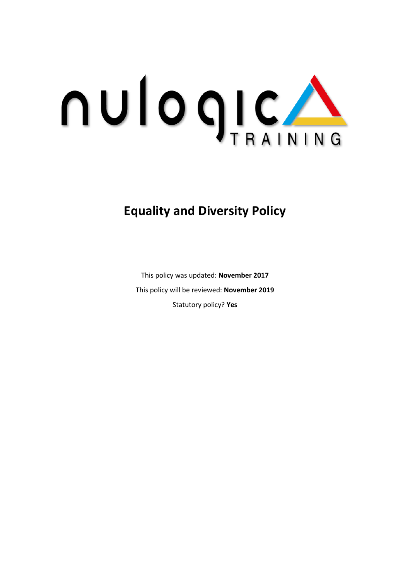

# **Equality and Diversity Policy**

This policy was updated: **November 2017** This policy will be reviewed: **November 2019** Statutory policy? **Yes**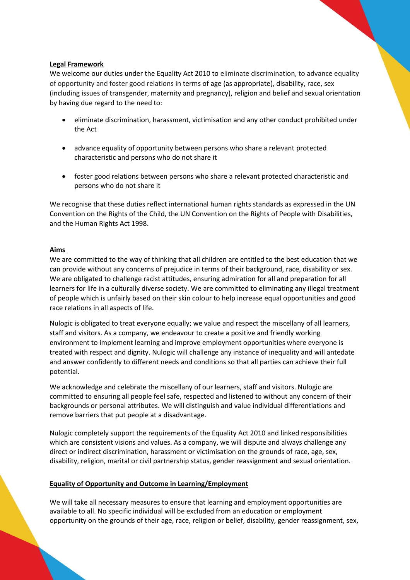# **Legal Framework**

We welcome our duties under the Equality Act 2010 to eliminate discrimination, to advance equality of opportunity and foster good relations in terms of age (as appropriate), disability, race, sex (including issues of transgender, maternity and pregnancy), religion and belief and sexual orientation by having due regard to the need to:

- eliminate discrimination, harassment, victimisation and any other conduct prohibited under the Act
- advance equality of opportunity between persons who share a relevant protected characteristic and persons who do not share it
- foster good relations between persons who share a relevant protected characteristic and persons who do not share it

We recognise that these duties reflect international human rights standards as expressed in the UN Convention on the Rights of the Child, the UN Convention on the Rights of People with Disabilities, and the Human Rights Act 1998.

## **Aims**

We are committed to the way of thinking that all children are entitled to the best education that we can provide without any concerns of prejudice in terms of their background, race, disability or sex. We are obligated to challenge racist attitudes, ensuring admiration for all and preparation for all learners for life in a culturally diverse society. We are committed to eliminating any illegal treatment of people which is unfairly based on their skin colour to help increase equal opportunities and good race relations in all aspects of life.

Nulogic is obligated to treat everyone equally; we value and respect the miscellany of all learners, staff and visitors. As a company, we endeavour to create a positive and friendly working environment to implement learning and improve employment opportunities where everyone is treated with respect and dignity. Nulogic will challenge any instance of inequality and will antedate and answer confidently to different needs and conditions so that all parties can achieve their full potential.

We acknowledge and celebrate the miscellany of our learners, staff and visitors. Nulogic are committed to ensuring all people feel safe, respected and listened to without any concern of their backgrounds or personal attributes. We will distinguish and value individual differentiations and remove barriers that put people at a disadvantage.

Nulogic completely support the requirements of the Equality Act 2010 and linked responsibilities which are consistent visions and values. As a company, we will dispute and always challenge any direct or indirect discrimination, harassment or victimisation on the grounds of race, age, sex, disability, religion, marital or civil partnership status, gender reassignment and sexual orientation.

### **Equality of Opportunity and Outcome in Learning/Employment**

We will take all necessary measures to ensure that learning and employment opportunities are available to all. No specific individual will be excluded from an education or employment opportunity on the grounds of their age, race, religion or belief, disability, gender reassignment, sex,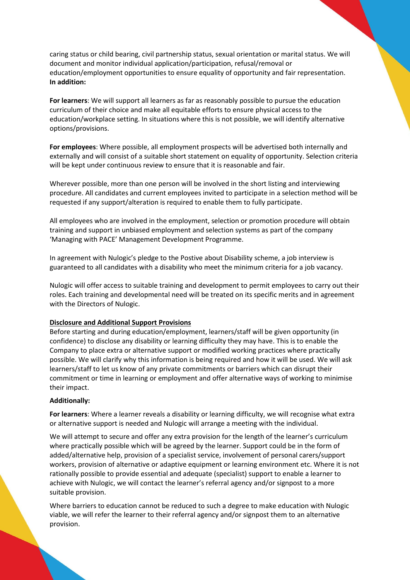caring status or child bearing, civil partnership status, sexual orientation or marital status. We will document and monitor individual application/participation, refusal/removal or education/employment opportunities to ensure equality of opportunity and fair representation. **In addition:**

**For learners**: We will support all learners as far as reasonably possible to pursue the education curriculum of their choice and make all equitable efforts to ensure physical access to the education/workplace setting. In situations where this is not possible, we will identify alternative options/provisions.

**For employees**: Where possible, all employment prospects will be advertised both internally and externally and will consist of a suitable short statement on equality of opportunity. Selection criteria will be kept under continuous review to ensure that it is reasonable and fair.

Wherever possible, more than one person will be involved in the short listing and interviewing procedure. All candidates and current employees invited to participate in a selection method will be requested if any support/alteration is required to enable them to fully participate.

All employees who are involved in the employment, selection or promotion procedure will obtain training and support in unbiased employment and selection systems as part of the company 'Managing with PACE' Management Development Programme.

In agreement with Nulogic's pledge to the Postive about Disability scheme, a job interview is guaranteed to all candidates with a disability who meet the minimum criteria for a job vacancy.

Nulogic will offer access to suitable training and development to permit employees to carry out their roles. Each training and developmental need will be treated on its specific merits and in agreement with the Directors of Nulogic.

# **Disclosure and Additional Support Provisions**

Before starting and during education/employment, learners/staff will be given opportunity (in confidence) to disclose any disability or learning difficulty they may have. This is to enable the Company to place extra or alternative support or modified working practices where practically possible. We will clarify why this information is being required and how it will be used. We will ask learners/staff to let us know of any private commitments or barriers which can disrupt their commitment or time in learning or employment and offer alternative ways of working to minimise their impact.

### **Additionally:**

**For learners**: Where a learner reveals a disability or learning difficulty, we will recognise what extra or alternative support is needed and Nulogic will arrange a meeting with the individual.

We will attempt to secure and offer any extra provision for the length of the learner's curriculum where practically possible which will be agreed by the learner. Support could be in the form of added/alternative help, provision of a specialist service, involvement of personal carers/support workers, provision of alternative or adaptive equipment or learning environment etc. Where it is not rationally possible to provide essential and adequate (specialist) support to enable a learner to achieve with Nulogic, we will contact the learner's referral agency and/or signpost to a more suitable provision.

Where barriers to education cannot be reduced to such a degree to make education with Nulogic viable, we will refer the learner to their referral agency and/or signpost them to an alternative provision.